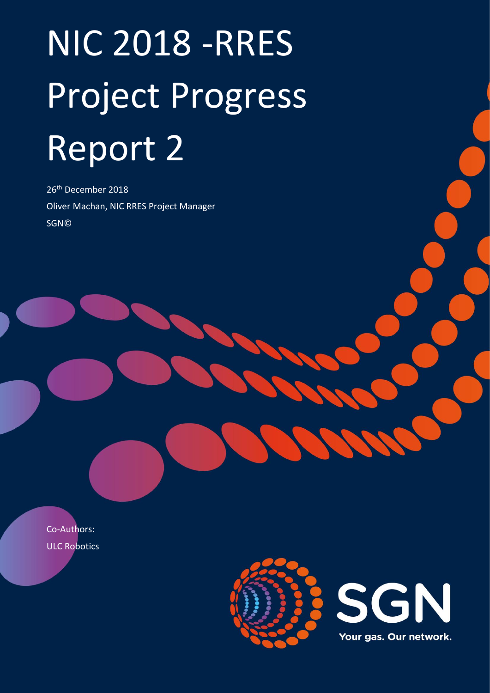# NIC 2018 -RRES Project Progress Report 2

SGN© 26th December 2018 Oliver Machan, NIC RRES Project Manager

Co-Authors: ULC Robotics

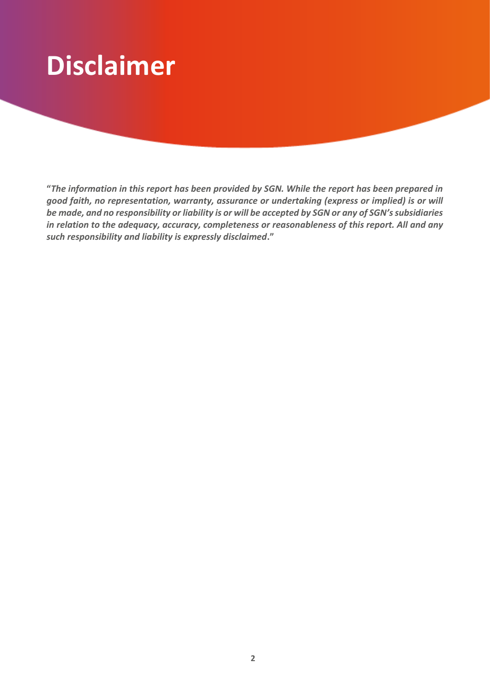## **Disclaimer**

**"***The information in this report has been provided by SGN. While the report has been prepared in good faith, no representation, warranty, assurance or undertaking (express or implied) is or will be made, and no responsibility or liability is or will be accepted by SGN or any of SGN's subsidiaries in relation to the adequacy, accuracy, completeness or reasonableness of this report. All and any such responsibility and liability is expressly disclaimed***."**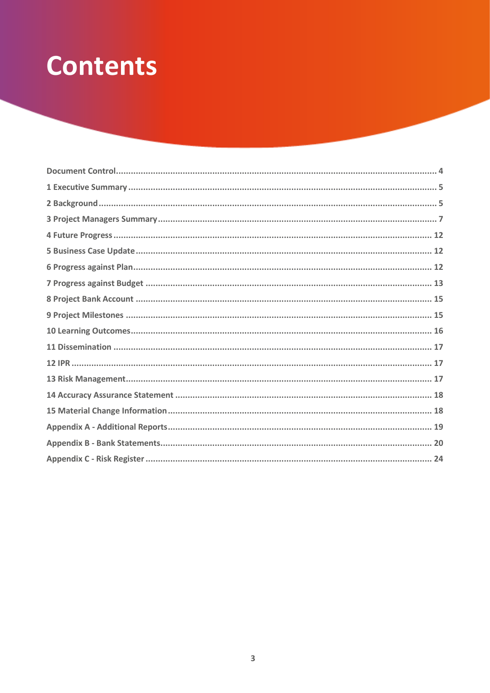## Contents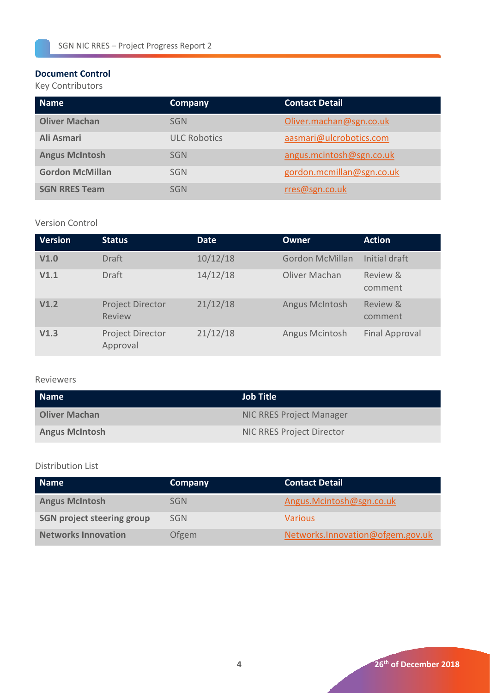## <span id="page-3-0"></span>**Document Control**

Key Contributors

| <b>Name</b>            | <b>Company</b>      | <b>Contact Detail</b>     |
|------------------------|---------------------|---------------------------|
| <b>Oliver Machan</b>   | <b>SGN</b>          | Oliver.machan@sgn.co.uk   |
| Ali Asmari             | <b>ULC Robotics</b> | aasmari@ulcrobotics.com   |
| <b>Angus McIntosh</b>  | <b>SGN</b>          | angus.mcintosh@sgn.co.uk  |
| <b>Gordon McMillan</b> | <b>SGN</b>          | gordon.mcmillan@sgn.co.uk |
| <b>SGN RRES Team</b>   | <b>SGN</b>          | rres@sgn.co.uk            |

## Version Control

| <b>Version</b> | <b>Status</b>                            | <b>Date</b> | Owner                  | <b>Action</b>         |
|----------------|------------------------------------------|-------------|------------------------|-----------------------|
| V1.0           | <b>Draft</b>                             | 10/12/18    | <b>Gordon McMillan</b> | Initial draft         |
| V1.1           | <b>Draft</b>                             | 14/12/18    | Oliver Machan          | Review &<br>comment   |
| V1.2           | <b>Project Director</b><br><b>Review</b> | 21/12/18    | Angus McIntosh         | Review &<br>comment   |
| V1.3           | <b>Project Director</b><br>Approval      | 21/12/18    | Angus Mcintosh         | <b>Final Approval</b> |

#### Reviewers

| <b>Name</b>           | Job Title                 |
|-----------------------|---------------------------|
| <b>Oliver Machan</b>  | NIC RRES Project Manager  |
| <b>Angus McIntosh</b> | NIC RRES Project Director |

## Distribution List

| <b>Name</b>                       | Company      | <b>Contact Detail</b>            |
|-----------------------------------|--------------|----------------------------------|
| <b>Angus McIntosh</b>             | SGN          | Angus.Mcintosh@sgn.co.uk         |
| <b>SGN project steering group</b> | <b>SGN</b>   | <b>Various</b>                   |
| <b>Networks Innovation</b>        | <b>Ofgem</b> | Networks.Innovation@ofgem.gov.uk |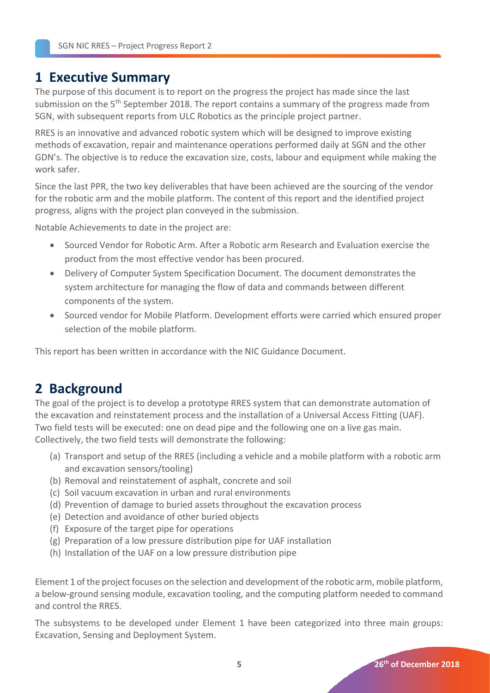## <span id="page-4-0"></span>**1 Executive Summary**

The purpose of this document is to report on the progress the project has made since the last submission on the 5<sup>th</sup> September 2018. The report contains a summary of the progress made from SGN, with subsequent reports from ULC Robotics as the principle project partner.

RRES is an innovative and advanced robotic system which will be designed to improve existing methods of excavation, repair and maintenance operations performed daily at SGN and the other GDN's. The objective is to reduce the excavation size, costs, labour and equipment while making the work safer.

Since the last PPR, the two key deliverables that have been achieved are the sourcing of the vendor for the robotic arm and the mobile platform. The content of this report and the identified project progress, aligns with the project plan conveyed in the submission.

Notable Achievements to date in the project are:

- Sourced Vendor for Robotic Arm. After a Robotic arm Research and Evaluation exercise the product from the most effective vendor has been procured.
- Delivery of Computer System Specification Document. The document demonstrates the system architecture for managing the flow of data and commands between different components of the system.
- Sourced vendor for Mobile Platform. Development efforts were carried which ensured proper selection of the mobile platform.

This report has been written in accordance with the NIC Guidance Document.

## <span id="page-4-1"></span>**2 Background**

The goal of the project is to develop a prototype RRES system that can demonstrate automation of the excavation and reinstatement process and the installation of a Universal Access Fitting (UAF). Two field tests will be executed: one on dead pipe and the following one on a live gas main. Collectively, the two field tests will demonstrate the following:

- (a) Transport and setup of the RRES (including a vehicle and a mobile platform with a robotic arm and excavation sensors/tooling)
- (b) Removal and reinstatement of asphalt, concrete and soil
- (c) Soil vacuum excavation in urban and rural environments
- (d) Prevention of damage to buried assets throughout the excavation process
- (e) Detection and avoidance of other buried objects
- (f) Exposure of the target pipe for operations
- (g) Preparation of a low pressure distribution pipe for UAF installation
- (h) Installation of the UAF on a low pressure distribution pipe

Element 1 of the project focuses on the selection and development of the robotic arm, mobile platform, a below-ground sensing module, excavation tooling, and the computing platform needed to command and control the RRES.

The subsystems to be developed under Element 1 have been categorized into three main groups: Excavation, Sensing and Deployment System.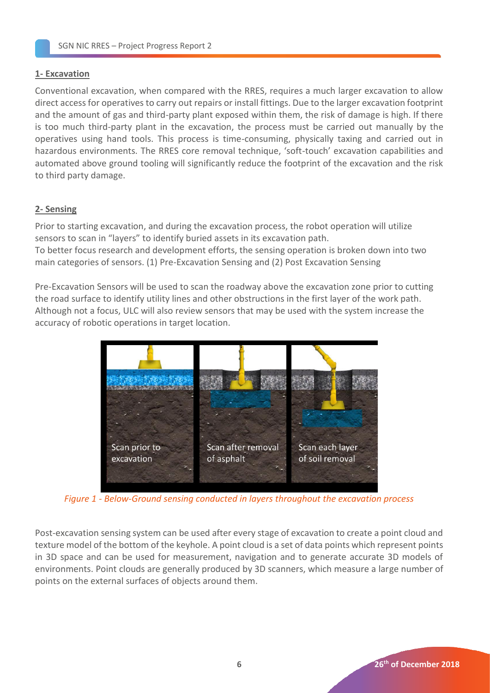### **1- Excavation**

Conventional excavation, when compared with the RRES, requires a much larger excavation to allow direct access for operatives to carry out repairs or install fittings. Due to the larger excavation footprint and the amount of gas and third-party plant exposed within them, the risk of damage is high. If there is too much third-party plant in the excavation, the process must be carried out manually by the operatives using hand tools. This process is time-consuming, physically taxing and carried out in hazardous environments. The RRES core removal technique, 'soft-touch' excavation capabilities and automated above ground tooling will significantly reduce the footprint of the excavation and the risk to third party damage.

## **2- Sensing**

Prior to starting excavation, and during the excavation process, the robot operation will utilize sensors to scan in "layers" to identify buried assets in its excavation path.

To better focus research and development efforts, the sensing operation is broken down into two main categories of sensors. (1) Pre-Excavation Sensing and (2) Post Excavation Sensing

Pre-Excavation Sensors will be used to scan the roadway above the excavation zone prior to cutting the road surface to identify utility lines and other obstructions in the first layer of the work path. Although not a focus, ULC will also review sensors that may be used with the system increase the accuracy of robotic operations in target location.



*Figure 1 - Below-Ground sensing conducted in layers throughout the excavation process*

Post-excavation sensing system can be used after every stage of excavation to create a point cloud and texture model of the bottom of the keyhole. A point cloud is a set of data points which represent points in 3D space and can be used for measurement, navigation and to generate accurate 3D models of environments. Point clouds are generally produced by 3D scanners, which measure a large number of points on the external surfaces of objects around them.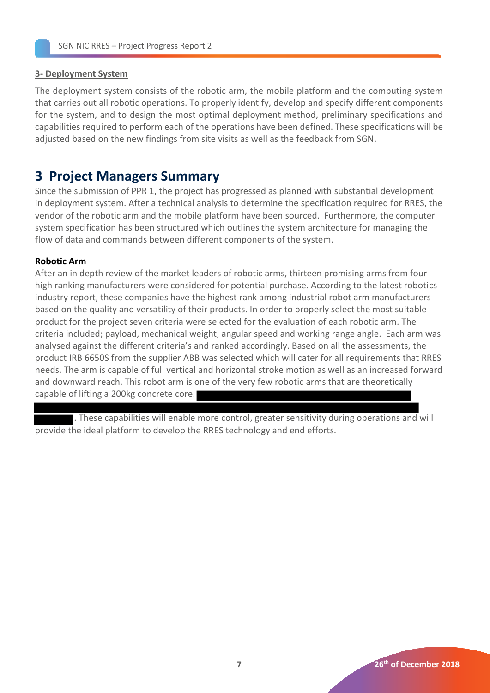#### **3- Deployment System**

The deployment system consists of the robotic arm, the mobile platform and the computing system that carries out all robotic operations. To properly identify, develop and specify different components for the system, and to design the most optimal deployment method, preliminary specifications and capabilities required to perform each of the operations have been defined. These specifications will be adjusted based on the new findings from site visits as well as the feedback from SGN.

## <span id="page-6-0"></span>**3 Project Managers Summary**

Since the submission of PPR 1, the project has progressed as planned with substantial development in deployment system. After a technical analysis to determine the specification required for RRES, the vendor of the robotic arm and the mobile platform have been sourced. Furthermore, the computer system specification has been structured which outlines the system architecture for managing the flow of data and commands between different components of the system.

### **Robotic Arm**

After an in depth review of the market leaders of robotic arms, thirteen promising arms from four high ranking manufacturers were considered for potential purchase. According to the latest robotics industry report, these companies have the highest rank among industrial robot arm manufacturers based on the quality and versatility of their products. In order to properly select the most suitable product for the project seven criteria were selected for the evaluation of each robotic arm. The criteria included; payload, mechanical weight, angular speed and working range angle. Each arm was analysed against the different criteria's and ranked accordingly. Based on all the assessments, the product IRB 6650S from the supplier ABB was selected which will cater for all requirements that RRES needs. The arm is capable of full vertical and horizontal stroke motion as well as an increased forward and downward reach. This robot arm is one of the very few robotic arms that are theoretically capable of lifting a 200kg concrete core.

. These capabilities will enable more control, greater sensitivity during operations and will provide the ideal platform to develop the RRES technology and end efforts.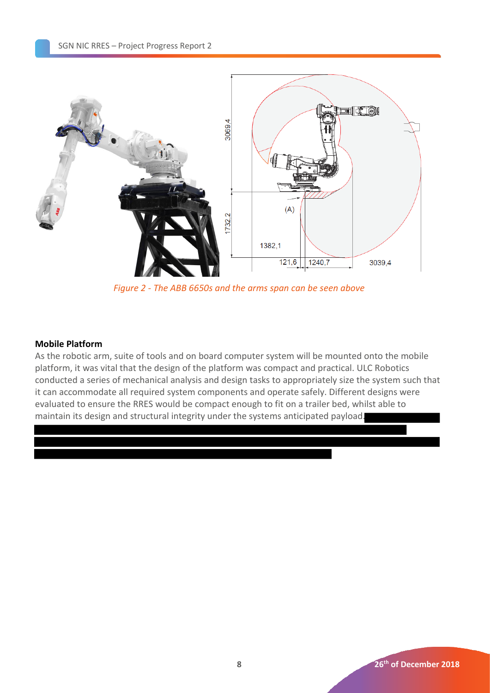

*Figure 2 - The ABB 6650s and the arms span can be seen above*

#### **Mobile Platform**

As the robotic arm, suite of tools and on board computer system will be mounted onto the mobile platform, it was vital that the design of the platform was compact and practical. ULC Robotics conducted a series of mechanical analysis and design tasks to appropriately size the system such that it can accommodate all required system components and operate safely. Different designs were evaluated to ensure the RRES would be compact enough to fit on a trailer bed, whilst able to maintain its design and structural integrity under the systems anticipated payload.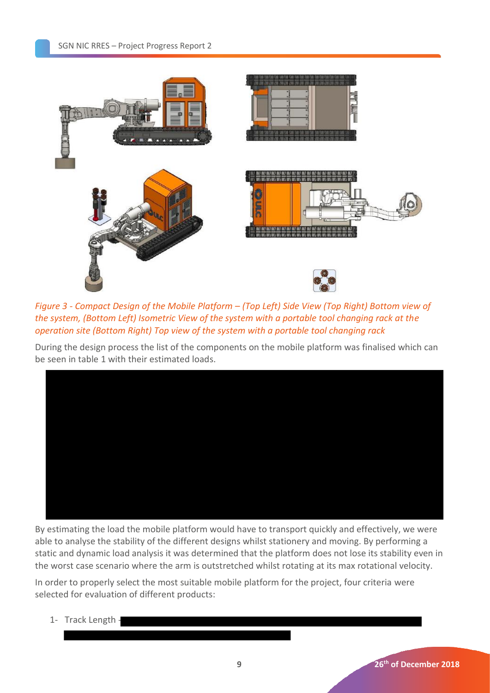

*Figure 3 - Compact Design of the Mobile Platform – (Top Left) Side View (Top Right) Bottom view of the system, (Bottom Left) Isometric View of the system with a portable tool changing rack at the operation site (Bottom Right) Top view of the system with a portable tool changing rack*

During the design process the list of the components on the mobile platform was finalised which can be seen in table 1 with their estimated loads.



By estimating the load the mobile platform would have to transport quickly and effectively, we were able to analyse the stability of the different designs whilst stationery and moving. By performing a static and dynamic load analysis it was determined that the platform does not lose its stability even in the worst case scenario where the arm is outstretched whilst rotating at its max rotational velocity.

In order to properly select the most suitable mobile platform for the project, four criteria were selected for evaluation of different products:

1- Track Length -

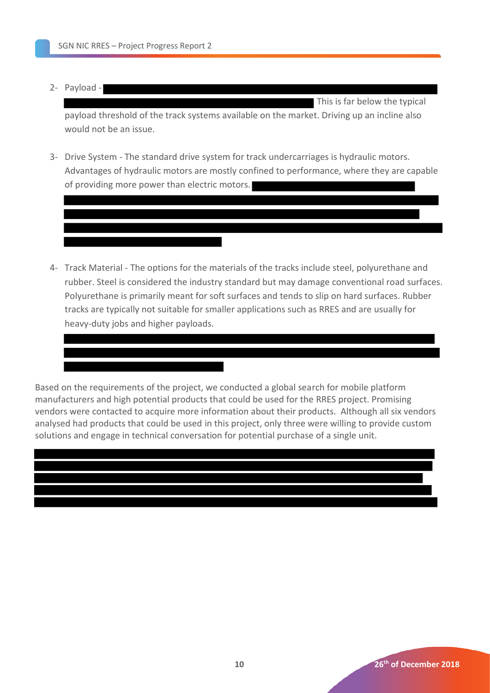2- Payload -

 This is far below the typical payload threshold of the track systems available on the market. Driving up an incline also would not be an issue.

3- Drive System - The standard drive system for track undercarriages is hydraulic motors. Advantages of hydraulic motors are mostly confined to performance, where they are capable of providing more power than electric motors.

4- Track Material - The options for the materials of the tracks include steel, polyurethane and rubber. Steel is considered the industry standard but may damage conventional road surfaces. Polyurethane is primarily meant for soft surfaces and tends to slip on hard surfaces. Rubber tracks are typically not suitable for smaller applications such as RRES and are usually for heavy-duty jobs and higher payloads.

Based on the requirements of the project, we conducted a global search for mobile platform manufacturers and high potential products that could be used for the RRES project. Promising vendors were contacted to acquire more information about their products. Although all six vendors analysed had products that could be used in this project, only three were willing to provide custom solutions and engage in technical conversation for potential purchase of a single unit.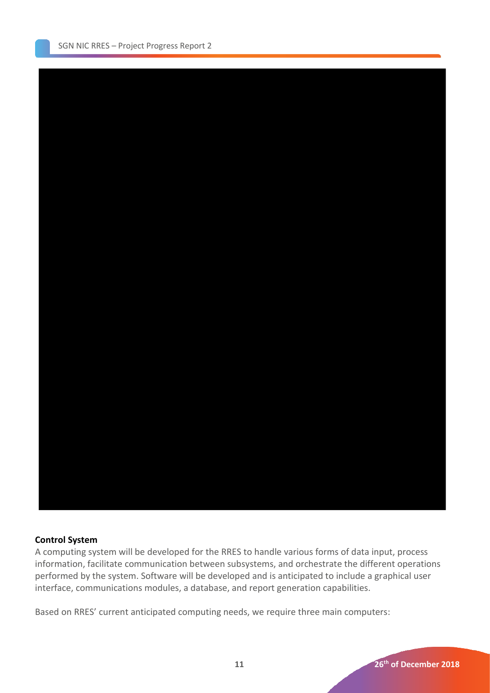

#### **Control System**

A computing system will be developed for the RRES to handle various forms of data input, process information, facilitate communication between subsystems, and orchestrate the different operations performed by the system. Software will be developed and is anticipated to include a graphical user interface, communications modules, a database, and report generation capabilities.

Based on RRES' current anticipated computing needs, we require three main computers: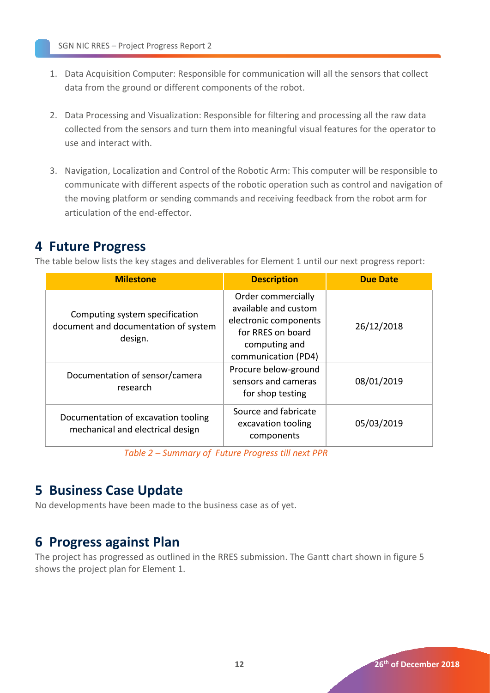- 1. Data Acquisition Computer: Responsible for communication will all the sensors that collect data from the ground or different components of the robot.
- 2. Data Processing and Visualization: Responsible for filtering and processing all the raw data collected from the sensors and turn them into meaningful visual features for the operator to use and interact with.
- 3. Navigation, Localization and Control of the Robotic Arm: This computer will be responsible to communicate with different aspects of the robotic operation such as control and navigation of the moving platform or sending commands and receiving feedback from the robot arm for articulation of the end-effector.

## <span id="page-11-0"></span>**4 Future Progress**

The table below lists the key stages and deliverables for Element 1 until our next progress report:

| <b>Milestone</b>                                                                  | <b>Description</b>                                                                                                               | <b>Due Date</b> |
|-----------------------------------------------------------------------------------|----------------------------------------------------------------------------------------------------------------------------------|-----------------|
| Computing system specification<br>document and documentation of system<br>design. | Order commercially<br>available and custom<br>electronic components<br>for RRES on board<br>computing and<br>communication (PD4) | 26/12/2018      |
| Documentation of sensor/camera<br>research                                        | Procure below-ground<br>sensors and cameras<br>for shop testing                                                                  | 08/01/2019      |
| Documentation of excavation tooling<br>mechanical and electrical design           | Source and fabricate<br>excavation tooling<br>components                                                                         | 05/03/2019      |

*Table 2 – Summary of Future Progress till next PPR* 

## <span id="page-11-1"></span>**5 Business Case Update**

No developments have been made to the business case as of yet.

## <span id="page-11-2"></span>**6 Progress against Plan**

The project has progressed as outlined in the RRES submission. The Gantt chart shown in figure 5 shows the project plan for Element 1.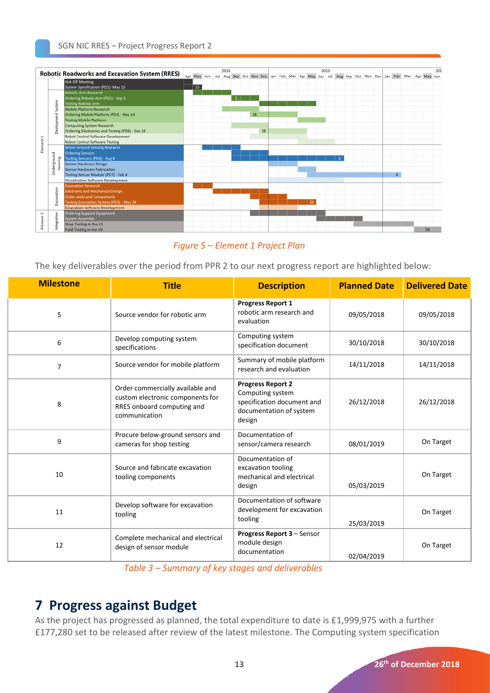

## *Figure 5 – Element 1 Project Plan*

The key deliverables over the period from PPR 2 to our next progress report are highlighted below:

| <b>Milestone</b> | <b>Title</b>                                                                                                        | <b>Description</b>                                                                                              | <b>Planned Date</b> | <b>Delivered Date</b> |
|------------------|---------------------------------------------------------------------------------------------------------------------|-----------------------------------------------------------------------------------------------------------------|---------------------|-----------------------|
| 5                | Source vendor for robotic arm                                                                                       | <b>Progress Report 1</b><br>robotic arm research and<br>evaluation                                              | 09/05/2018          | 09/05/2018            |
| 6                | Develop computing system<br>specifications                                                                          | Computing system<br>specification document                                                                      | 30/10/2018          | 30/10/2018            |
| 7                | Source vendor for mobile platform                                                                                   | Summary of mobile platform<br>research and evaluation                                                           | 14/11/2018          | 14/11/2018            |
| 8                | Order commercially available and<br>custom electronic components for<br>RRES onboard computing and<br>communication | <b>Progress Report 2</b><br>Computing system<br>specification document and<br>documentation of system<br>design | 26/12/2018          | 26/12/2018            |
| 9                | Procure below-ground sensors and<br>cameras for shop testing                                                        | Documentation of<br>sensor/camera research                                                                      | 08/01/2019          | On Target             |
| 10               | Source and fabricate excavation<br>tooling components                                                               | Documentation of<br>excavation tooling<br>mechanical and electrical<br>design                                   | 05/03/2019          | On Target             |
| 11               | Develop software for excavation<br>tooling                                                                          | Documentation of software<br>development for excavation<br>tooling                                              | 25/03/2019          | On Target             |
| 12               | Complete mechanical and electrical<br>design of sensor module                                                       | Progress Report 3 - Sensor<br>module design<br>documentation                                                    | 02/04/2019          | On Target             |

*Table 3 – Summary of key stages and deliverables* 

## <span id="page-12-0"></span>**7 Progress against Budget**

As the project has progressed as planned, the total expenditure to date is £1,999,975 with a further £177,280 set to be released after review of the latest milestone. The Computing system specification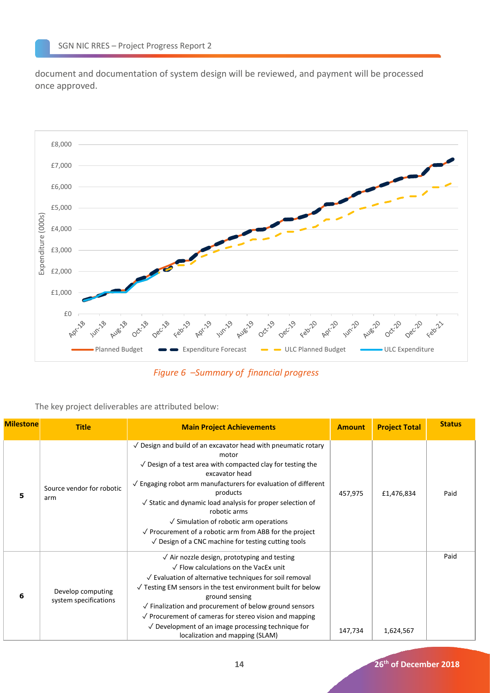document and documentation of system design will be reviewed, and payment will be processed once approved.



*Figure 6 –Summary of financial progress* 

The key project deliverables are attributed below:

| <b>Milestone</b> | <b>Title</b>                               | <b>Main Project Achievements</b>                                                                                                                                                                                                                                                                                                                                                                                                                                                                                                                      | <b>Amount</b> | <b>Project Total</b> | <b>Status</b> |
|------------------|--------------------------------------------|-------------------------------------------------------------------------------------------------------------------------------------------------------------------------------------------------------------------------------------------------------------------------------------------------------------------------------------------------------------------------------------------------------------------------------------------------------------------------------------------------------------------------------------------------------|---------------|----------------------|---------------|
| 5                | Source vendor for robotic<br>arm           | $\sqrt{\ }$ Design and build of an excavator head with pneumatic rotary<br>motor<br>$\sqrt{\ }$ Design of a test area with compacted clay for testing the<br>excavator head<br>$\sqrt{\ }$ Engaging robot arm manufacturers for evaluation of different<br>products<br>$\sqrt{\ }$ Static and dynamic load analysis for proper selection of<br>robotic arms<br>$\sqrt{\ }$ Simulation of robotic arm operations<br>$\sqrt{\ }$ Procurement of a robotic arm from ABB for the project<br>$\sqrt{\ }$ Design of a CNC machine for testing cutting tools | 457,975       | £1,476,834           | Paid          |
| 6                | Develop computing<br>system specifications | $\sqrt{\phantom{a}}$ Air nozzle design, prototyping and testing<br>$\sqrt{\ }$ Flow calculations on the VacEx unit<br>$\sqrt{\ }$ Evaluation of alternative techniques for soil removal<br>$\sqrt{}$ Testing EM sensors in the test environment built for below<br>ground sensing<br>$\sqrt{}$ Finalization and procurement of below ground sensors<br>$\sqrt{\ }$ Procurement of cameras for stereo vision and mapping<br>$\sqrt{}$ Development of an image processing technique for<br>localization and mapping (SLAM)                              | 147,734       | 1,624,567            | Paid          |

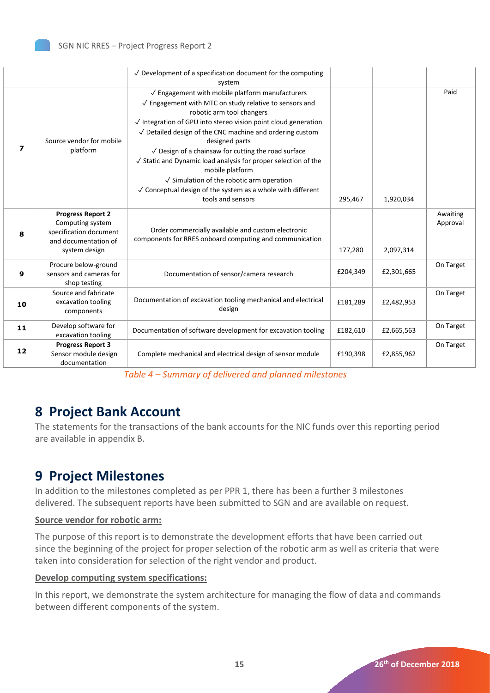|    |                                                                                                                 | $\sqrt{\ }$ Development of a specification document for the computing<br>system                                                                                                                                                                                                                                                                                                                                                                                                                                                                                                                                                |          |            |                      |
|----|-----------------------------------------------------------------------------------------------------------------|--------------------------------------------------------------------------------------------------------------------------------------------------------------------------------------------------------------------------------------------------------------------------------------------------------------------------------------------------------------------------------------------------------------------------------------------------------------------------------------------------------------------------------------------------------------------------------------------------------------------------------|----------|------------|----------------------|
| 7  | Source vendor for mobile<br>platform                                                                            | √ Engagement with mobile platform manufacturers<br>$\sqrt{\ }$ Engagement with MTC on study relative to sensors and<br>robotic arm tool changers<br>$\sqrt{}$ Integration of GPU into stereo vision point cloud generation<br>√ Detailed design of the CNC machine and ordering custom<br>designed parts<br>$\sqrt{\ }$ Design of a chainsaw for cutting the road surface<br>$\sqrt{\ }$ Static and Dynamic load analysis for proper selection of the<br>mobile platform<br>$\checkmark$ Simulation of the robotic arm operation<br>$\sqrt{\ }$ Conceptual design of the system as a whole with different<br>tools and sensors | 295,467  | 1,920,034  | Paid                 |
| 8  | <b>Progress Report 2</b><br>Computing system<br>specification document<br>and documentation of<br>system design | Order commercially available and custom electronic<br>components for RRES onboard computing and communication                                                                                                                                                                                                                                                                                                                                                                                                                                                                                                                  | 177,280  | 2,097,314  | Awaiting<br>Approval |
| 9  | Procure below-ground<br>sensors and cameras for<br>shop testing                                                 | Documentation of sensor/camera research                                                                                                                                                                                                                                                                                                                                                                                                                                                                                                                                                                                        | £204,349 | £2,301,665 | On Target            |
| 10 | Source and fabricate<br>excavation tooling<br>components                                                        | Documentation of excavation tooling mechanical and electrical<br>design                                                                                                                                                                                                                                                                                                                                                                                                                                                                                                                                                        | £181,289 | £2,482,953 | On Target            |
| 11 | Develop software for<br>excavation tooling                                                                      | Documentation of software development for excavation tooling                                                                                                                                                                                                                                                                                                                                                                                                                                                                                                                                                                   | £182,610 | £2,665,563 | On Target            |
| 12 | <b>Progress Report 3</b><br>Sensor module design<br>documentation                                               | Complete mechanical and electrical design of sensor module                                                                                                                                                                                                                                                                                                                                                                                                                                                                                                                                                                     | £190,398 | £2,855,962 | On Target            |

*Table 4 – Summary of delivered and planned milestones* 

## <span id="page-14-0"></span>**8 Project Bank Account**

The statements for the transactions of the bank accounts for the NIC funds over this reporting period are available in appendix B.

## <span id="page-14-1"></span>**9 Project Milestones**

In addition to the milestones completed as per PPR 1, there has been a further 3 milestones delivered. The subsequent reports have been submitted to SGN and are available on request.

#### **Source vendor for robotic arm:**

The purpose of this report is to demonstrate the development efforts that have been carried out since the beginning of the project for proper selection of the robotic arm as well as criteria that were taken into consideration for selection of the right vendor and product.

#### **Develop computing system specifications:**

In this report, we demonstrate the system architecture for managing the flow of data and commands between different components of the system.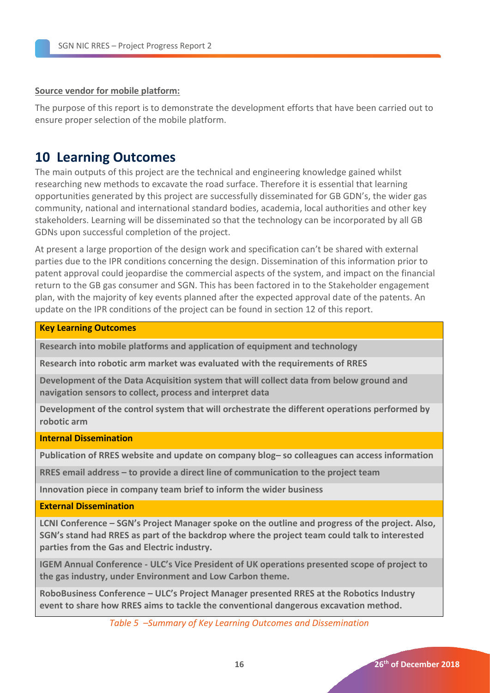#### **Source vendor for mobile platform:**

The purpose of this report is to demonstrate the development efforts that have been carried out to ensure proper selection of the mobile platform.

## <span id="page-15-0"></span>**10 Learning Outcomes**

The main outputs of this project are the technical and engineering knowledge gained whilst researching new methods to excavate the road surface. Therefore it is essential that learning opportunities generated by this project are successfully disseminated for GB GDN's, the wider gas community, national and international standard bodies, academia, local authorities and other key stakeholders. Learning will be disseminated so that the technology can be incorporated by all GB GDNs upon successful completion of the project.

At present a large proportion of the design work and specification can't be shared with external parties due to the IPR conditions concerning the design. Dissemination of this information prior to patent approval could jeopardise the commercial aspects of the system, and impact on the financial return to the GB gas consumer and SGN. This has been factored in to the Stakeholder engagement plan, with the majority of key events planned after the expected approval date of the patents. An update on the IPR conditions of the project can be found in section 12 of this report.

#### **Key Learning Outcomes**

**Research into mobile platforms and application of equipment and technology**

**Research into robotic arm market was evaluated with the requirements of RRES** 

**Development of the Data Acquisition system that will collect data from below ground and navigation sensors to collect, process and interpret data**

**Development of the control system that will orchestrate the different operations performed by robotic arm**

#### **Internal Dissemination**

**Publication of RRES website and update on company blog– so colleagues can access information**

**RRES email address – to provide a direct line of communication to the project team**

**Innovation piece in company team brief to inform the wider business**

#### **External Dissemination**

**LCNI Conference – SGN's Project Manager spoke on the outline and progress of the project. Also, SGN's stand had RRES as part of the backdrop where the project team could talk to interested parties from the Gas and Electric industry.**

**IGEM Annual Conference - ULC's Vice President of UK operations presented scope of project to the gas industry, under Environment and Low Carbon theme.** 

**RoboBusiness Conference – ULC's Project Manager presented RRES at the Robotics Industry event to share how RRES aims to tackle the conventional dangerous excavation method.**

*Table 5 –Summary of Key Learning Outcomes and Dissemination*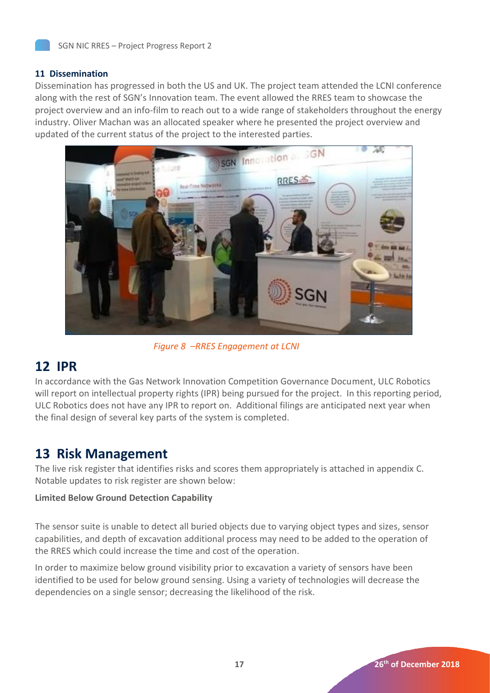### <span id="page-16-0"></span>**11 Dissemination**

Dissemination has progressed in both the US and UK. The project team attended the LCNI conference along with the rest of SGN's Innovation team. The event allowed the RRES team to showcase the project overview and an info-film to reach out to a wide range of stakeholders throughout the energy industry. Oliver Machan was an allocated speaker where he presented the project overview and updated of the current status of the project to the interested parties.



*Figure 8 –RRES Engagement at LCNI*

## <span id="page-16-1"></span>**12 IPR**

In accordance with the Gas Network Innovation Competition Governance Document, ULC Robotics will report on intellectual property rights (IPR) being pursued for the project. In this reporting period, ULC Robotics does not have any IPR to report on. Additional filings are anticipated next year when the final design of several key parts of the system is completed.

## <span id="page-16-2"></span>**13 Risk Management**

The live risk register that identifies risks and scores them appropriately is attached in appendix C. Notable updates to risk register are shown below:

#### **Limited Below Ground Detection Capability**

The sensor suite is unable to detect all buried objects due to varying object types and sizes, sensor capabilities, and depth of excavation additional process may need to be added to the operation of the RRES which could increase the time and cost of the operation.

In order to maximize below ground visibility prior to excavation a variety of sensors have been identified to be used for below ground sensing. Using a variety of technologies will decrease the dependencies on a single sensor; decreasing the likelihood of the risk.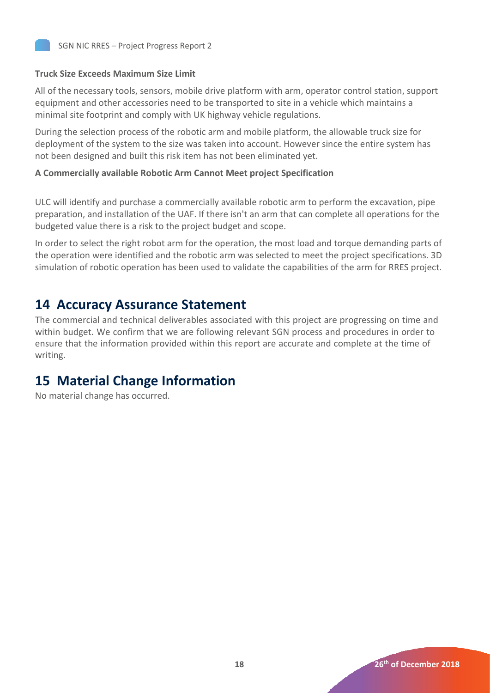

#### **Truck Size Exceeds Maximum Size Limit**

All of the necessary tools, sensors, mobile drive platform with arm, operator control station, support equipment and other accessories need to be transported to site in a vehicle which maintains a minimal site footprint and comply with UK highway vehicle regulations.

During the selection process of the robotic arm and mobile platform, the allowable truck size for deployment of the system to the size was taken into account. However since the entire system has not been designed and built this risk item has not been eliminated yet.

#### **A Commercially available Robotic Arm Cannot Meet project Specification**

ULC will identify and purchase a commercially available robotic arm to perform the excavation, pipe preparation, and installation of the UAF. If there isn't an arm that can complete all operations for the budgeted value there is a risk to the project budget and scope.

In order to select the right robot arm for the operation, the most load and torque demanding parts of the operation were identified and the robotic arm was selected to meet the project specifications. 3D simulation of robotic operation has been used to validate the capabilities of the arm for RRES project.

## <span id="page-17-0"></span>**14 Accuracy Assurance Statement**

The commercial and technical deliverables associated with this project are progressing on time and within budget. We confirm that we are following relevant SGN process and procedures in order to ensure that the information provided within this report are accurate and complete at the time of writing.

## <span id="page-17-1"></span>**15 Material Change Information**

No material change has occurred.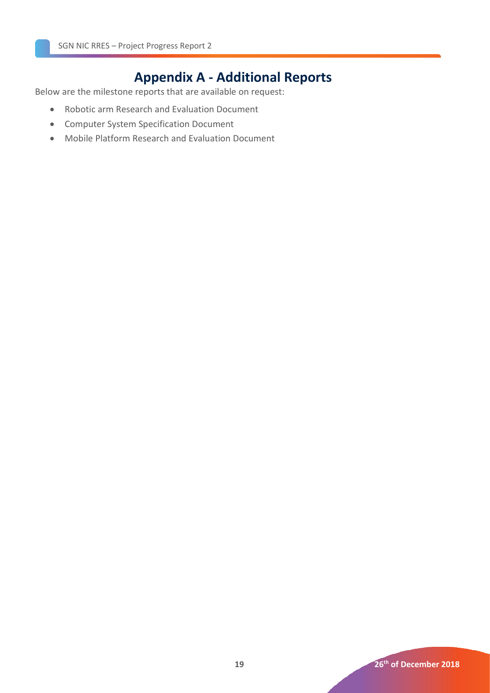## **Appendix A - Additional Reports**

<span id="page-18-0"></span>Below are the milestone reports that are available on request:

- Robotic arm Research and Evaluation Document
- Computer System Specification Document
- Mobile Platform Research and Evaluation Document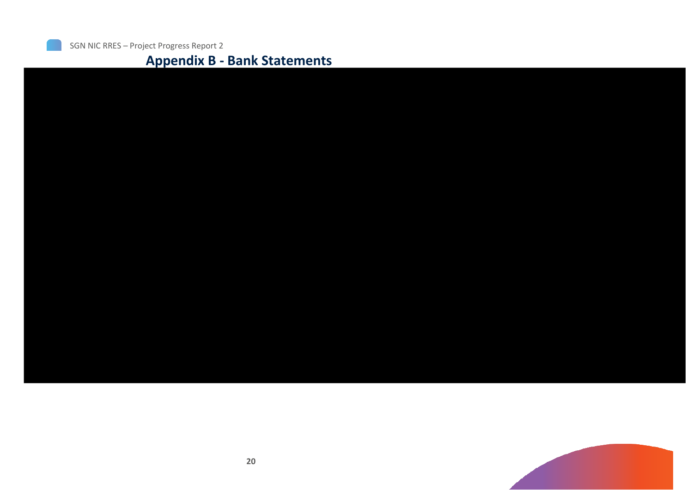## <span id="page-19-0"></span>**Appendix B - Bank Statements**

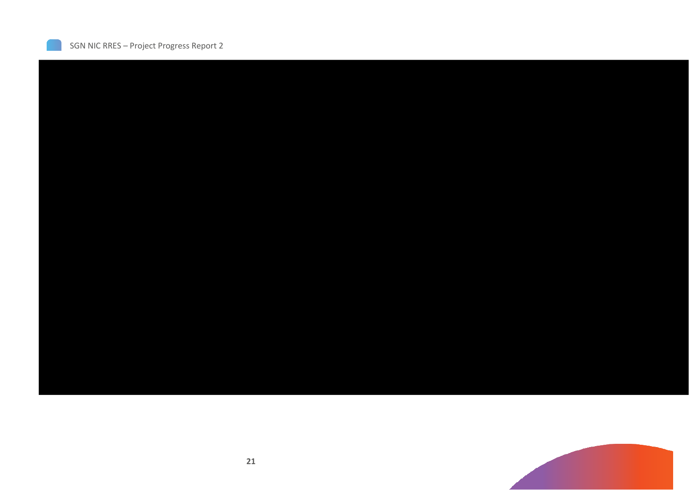



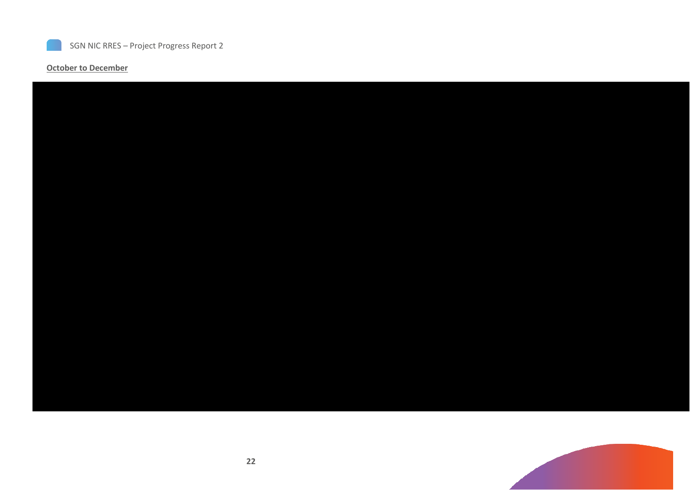

### **October to December**



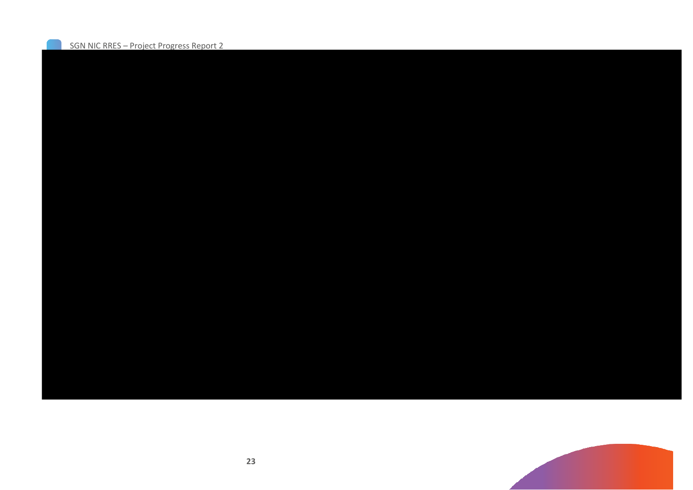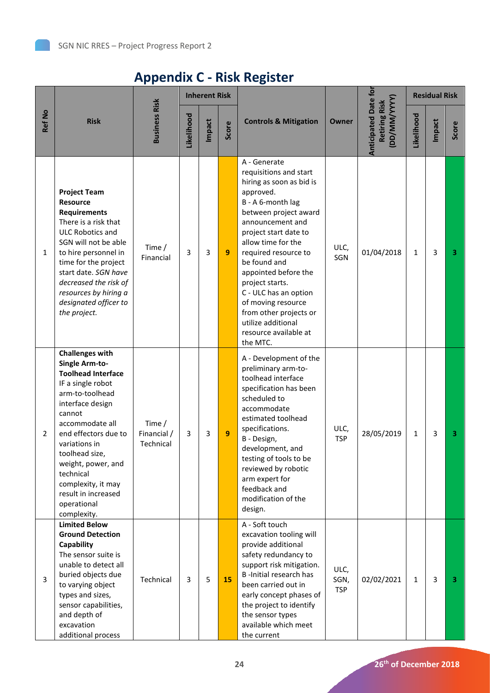## **Appendix C - Risk Register**

<span id="page-23-0"></span>

|                |                                                                                                                                                                                                                                                                                                                                                | <b>Inherent Risk</b>               |            |               |       |                                                                                                                                                                                                                                                                                                                                                                                                                         |                            | <b>Residual Risk</b>                                        |              |        |       |
|----------------|------------------------------------------------------------------------------------------------------------------------------------------------------------------------------------------------------------------------------------------------------------------------------------------------------------------------------------------------|------------------------------------|------------|---------------|-------|-------------------------------------------------------------------------------------------------------------------------------------------------------------------------------------------------------------------------------------------------------------------------------------------------------------------------------------------------------------------------------------------------------------------------|----------------------------|-------------------------------------------------------------|--------------|--------|-------|
| Ref No         | <b>Risk</b>                                                                                                                                                                                                                                                                                                                                    | <b>Business Risk</b>               | Likelihood | <b>Impact</b> | Score | <b>Controls &amp; Mitigation</b>                                                                                                                                                                                                                                                                                                                                                                                        | <b>Owner</b>               | <b>Anticipated Date for</b><br>DD/MM/YYYY)<br>Retiring Risk | Likelihood   | Impact | Score |
| 1              | <b>Project Team</b><br><b>Resource</b><br><b>Requirements</b><br>There is a risk that<br><b>ULC Robotics and</b><br>SGN will not be able<br>to hire personnel in<br>time for the project<br>start date. SGN have<br>decreased the risk of<br>resources by hiring a<br>designated officer to<br>the project.                                    | Time /<br>Financial                | 3          | 3             | 9     | A - Generate<br>requisitions and start<br>hiring as soon as bid is<br>approved.<br>B - A 6-month lag<br>between project award<br>announcement and<br>project start date to<br>allow time for the<br>required resource to<br>be found and<br>appointed before the<br>project starts.<br>C - ULC has an option<br>of moving resource<br>from other projects or<br>utilize additional<br>resource available at<br>the MTC. | ULC,<br>SGN                | 01/04/2018                                                  | $\mathbf{1}$ | 3      | з     |
| $\overline{2}$ | <b>Challenges with</b><br><b>Single Arm-to-</b><br><b>Toolhead Interface</b><br>IF a single robot<br>arm-to-toolhead<br>interface design<br>cannot<br>accommodate all<br>end effectors due to<br>variations in<br>toolhead size,<br>weight, power, and<br>technical<br>complexity, it may<br>result in increased<br>operational<br>complexity. | Time /<br>Financial /<br>Technical | 3          | 3             | 9     | A - Development of the<br>preliminary arm-to-<br>toolhead interface<br>specification has been<br>scheduled to<br>accommodate<br>estimated toolhead<br>specifications.<br>B - Design,<br>development, and<br>testing of tools to be<br>reviewed by robotic<br>arm expert for<br>feedback and<br>modification of the<br>design.                                                                                           | ULC,<br><b>TSP</b>         | 28/05/2019                                                  | $\mathbf{1}$ | 3      | з.    |
| 3              | <b>Limited Below</b><br><b>Ground Detection</b><br>Capability<br>The sensor suite is<br>unable to detect all<br>buried objects due<br>to varying object<br>types and sizes,<br>sensor capabilities,<br>and depth of<br>excavation<br>additional process                                                                                        | Technical                          | 3          | 5             | 15    | A - Soft touch<br>excavation tooling will<br>provide additional<br>safety redundancy to<br>support risk mitigation.<br>B-Initial research has<br>been carried out in<br>early concept phases of<br>the project to identify<br>the sensor types<br>available which meet<br>the current                                                                                                                                   | ULC,<br>SGN,<br><b>TSP</b> | 02/02/2021                                                  | $\mathbf{1}$ | 3      | З.    |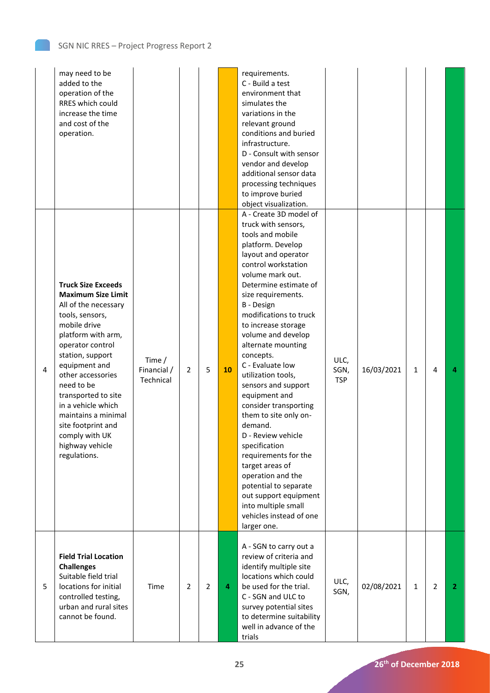|   | may need to be<br>added to the<br>operation of the<br>RRES which could<br>increase the time<br>and cost of the<br>operation.                                                                                                                                                                                                                                                       |                                    |                |   |    | requirements.<br>C - Build a test<br>environment that<br>simulates the<br>variations in the<br>relevant ground<br>conditions and buried<br>infrastructure.<br>D - Consult with sensor<br>vendor and develop<br>additional sensor data<br>processing techniques<br>to improve buried<br>object visualization.                                                                                                                                                                                                                                                                                                                                                                                             |                            |            |              |                |              |
|---|------------------------------------------------------------------------------------------------------------------------------------------------------------------------------------------------------------------------------------------------------------------------------------------------------------------------------------------------------------------------------------|------------------------------------|----------------|---|----|----------------------------------------------------------------------------------------------------------------------------------------------------------------------------------------------------------------------------------------------------------------------------------------------------------------------------------------------------------------------------------------------------------------------------------------------------------------------------------------------------------------------------------------------------------------------------------------------------------------------------------------------------------------------------------------------------------|----------------------------|------------|--------------|----------------|--------------|
| 4 | <b>Truck Size Exceeds</b><br><b>Maximum Size Limit</b><br>All of the necessary<br>tools, sensors,<br>mobile drive<br>platform with arm,<br>operator control<br>station, support<br>equipment and<br>other accessories<br>need to be<br>transported to site<br>in a vehicle which<br>maintains a minimal<br>site footprint and<br>comply with UK<br>highway vehicle<br>regulations. | Time /<br>Financial /<br>Technical | $\overline{2}$ | 5 | 10 | A - Create 3D model of<br>truck with sensors,<br>tools and mobile<br>platform. Develop<br>layout and operator<br>control workstation<br>volume mark out.<br>Determine estimate of<br>size requirements.<br>B - Design<br>modifications to truck<br>to increase storage<br>volume and develop<br>alternate mounting<br>concepts.<br>C - Evaluate low<br>utilization tools,<br>sensors and support<br>equipment and<br>consider transporting<br>them to site only on-<br>demand.<br>D - Review vehicle<br>specification<br>requirements for the<br>target areas of<br>operation and the<br>potential to separate<br>out support equipment<br>into multiple small<br>vehicles instead of one<br>larger one. | ULC,<br>SGN,<br><b>TSP</b> | 16/03/2021 | $\mathbf{1}$ | 4              | 4            |
| 5 | <b>Field Trial Location</b><br><b>Challenges</b><br>Suitable field trial<br>locations for initial<br>controlled testing,<br>urban and rural sites<br>cannot be found.                                                                                                                                                                                                              | Time                               | $\overline{2}$ | 2 | 4. | A - SGN to carry out a<br>review of criteria and<br>identify multiple site<br>locations which could<br>be used for the trial.<br>C - SGN and ULC to<br>survey potential sites<br>to determine suitability<br>well in advance of the<br>trials                                                                                                                                                                                                                                                                                                                                                                                                                                                            | ULC,<br>SGN,               | 02/08/2021 | $\mathbf{1}$ | $\overline{2}$ | $\mathbf{2}$ |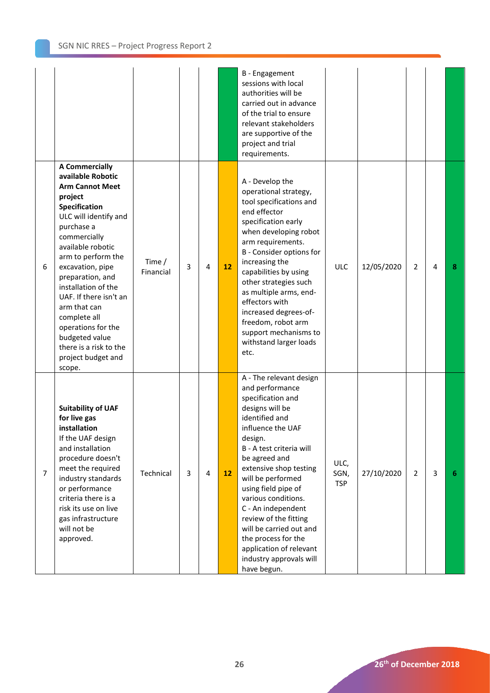|                |                                                                                                                                                                                                                                                                                                                                                                                                                               |                     |   |                |    | B - Engagement<br>sessions with local<br>authorities will be<br>carried out in advance<br>of the trial to ensure<br>relevant stakeholders<br>are supportive of the<br>project and trial<br>requirements.                                                                                                                                                                                                                                             |                            |            |                |   |    |
|----------------|-------------------------------------------------------------------------------------------------------------------------------------------------------------------------------------------------------------------------------------------------------------------------------------------------------------------------------------------------------------------------------------------------------------------------------|---------------------|---|----------------|----|------------------------------------------------------------------------------------------------------------------------------------------------------------------------------------------------------------------------------------------------------------------------------------------------------------------------------------------------------------------------------------------------------------------------------------------------------|----------------------------|------------|----------------|---|----|
| 6              | <b>A Commercially</b><br>available Robotic<br><b>Arm Cannot Meet</b><br>project<br>Specification<br>ULC will identify and<br>purchase a<br>commercially<br>available robotic<br>arm to perform the<br>excavation, pipe<br>preparation, and<br>installation of the<br>UAF. If there isn't an<br>arm that can<br>complete all<br>operations for the<br>budgeted value<br>there is a risk to the<br>project budget and<br>scope. | Time /<br>Financial | 3 | 4              | 12 | A - Develop the<br>operational strategy,<br>tool specifications and<br>end effector<br>specification early<br>when developing robot<br>arm requirements.<br>B - Consider options for<br>increasing the<br>capabilities by using<br>other strategies such<br>as multiple arms, end-<br>effectors with<br>increased degrees-of-<br>freedom, robot arm<br>support mechanisms to<br>withstand larger loads<br>etc.                                       | <b>ULC</b>                 | 12/05/2020 | 2              | 4 | 8  |
| $\overline{7}$ | <b>Suitability of UAF</b><br>for live gas<br>installation<br>If the UAF design<br>and installation<br>procedure doesn't<br>meet the required<br>industry standards<br>or performance<br>criteria there is a<br>risk its use on live<br>gas infrastructure<br>will not be<br>approved.                                                                                                                                         | Technical           | 3 | $\overline{4}$ | 12 | A - The relevant design<br>and performance<br>specification and<br>designs will be<br>identified and<br>influence the UAF<br>design.<br>B - A test criteria will<br>be agreed and<br>extensive shop testing<br>will be performed<br>using field pipe of<br>various conditions.<br>C - An independent<br>review of the fitting<br>will be carried out and<br>the process for the<br>application of relevant<br>industry approvals will<br>have begun. | ULC,<br>SGN,<br><b>TSP</b> | 27/10/2020 | $\overline{2}$ | 3 | 6. |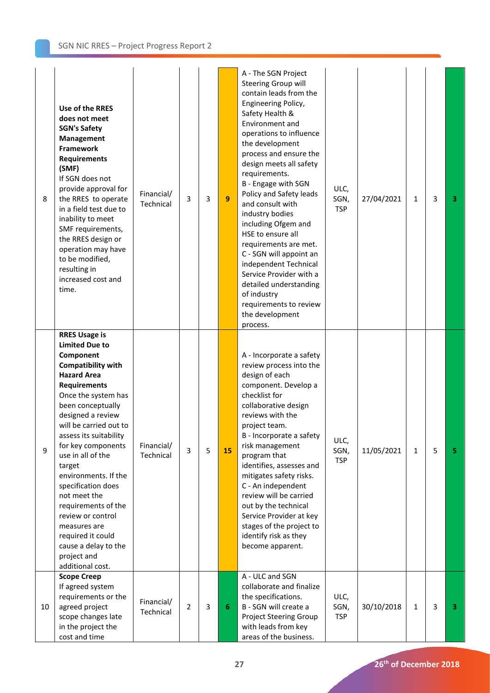| 8  | Use of the RRES<br>does not meet<br><b>SGN's Safety</b><br>Management<br><b>Framework</b><br><b>Requirements</b><br>(SMF)<br>If SGN does not<br>provide approval for<br>the RRES to operate<br>in a field test due to<br>inability to meet<br>SMF requirements,<br>the RRES design or<br>operation may have<br>to be modified,<br>resulting in<br>increased cost and<br>time.                                                                                                                                            | Financial/<br>Technical | 3              | 3              | 9  | A - The SGN Project<br>Steering Group will<br>contain leads from the<br>Engineering Policy,<br>Safety Health &<br>Environment and<br>operations to influence<br>the development<br>process and ensure the<br>design meets all safety<br>requirements.<br>B - Engage with SGN<br>Policy and Safety leads<br>and consult with<br>industry bodies<br>including Ofgem and<br>HSE to ensure all<br>requirements are met.<br>C - SGN will appoint an<br>independent Technical<br>Service Provider with a<br>detailed understanding<br>of industry<br>requirements to review<br>the development<br>process. | ULC,<br>SGN,<br><b>TSP</b> | 27/04/2021 | $\mathbf{1}$ | 3              | 3  |
|----|--------------------------------------------------------------------------------------------------------------------------------------------------------------------------------------------------------------------------------------------------------------------------------------------------------------------------------------------------------------------------------------------------------------------------------------------------------------------------------------------------------------------------|-------------------------|----------------|----------------|----|------------------------------------------------------------------------------------------------------------------------------------------------------------------------------------------------------------------------------------------------------------------------------------------------------------------------------------------------------------------------------------------------------------------------------------------------------------------------------------------------------------------------------------------------------------------------------------------------------|----------------------------|------------|--------------|----------------|----|
| 9  | <b>RRES Usage is</b><br><b>Limited Due to</b><br>Component<br><b>Compatibility with</b><br><b>Hazard Area</b><br><b>Requirements</b><br>Once the system has<br>been conceptually<br>designed a review<br>will be carried out to<br>assess its suitability<br>for key components<br>use in all of the<br>target<br>environments. If the<br>specification does<br>not meet the<br>requirements of the<br>review or control<br>measures are<br>required it could<br>cause a delay to the<br>project and<br>additional cost. | Financial/<br>Technical | 3              | 5              | 15 | A - Incorporate a safety<br>review process into the<br>design of each<br>component. Develop a<br>checklist for<br>collaborative design<br>reviews with the<br>project team.<br>B - Incorporate a safety<br>risk management<br>program that<br>identifies, assesses and<br>mitigates safety risks.<br>C - An independent<br>review will be carried<br>out by the technical<br>Service Provider at key<br>stages of the project to<br>identify risk as they<br>become apparent.                                                                                                                        | ULC,<br>SGN,<br><b>TSP</b> | 11/05/2021 | $\mathbf{1}$ | 5              | 5. |
| 10 | <b>Scope Creep</b><br>If agreed system<br>requirements or the<br>agreed project<br>scope changes late<br>in the project the<br>cost and time                                                                                                                                                                                                                                                                                                                                                                             | Financial/<br>Technical | $\overline{2}$ | $\overline{3}$ | 6  | A - ULC and SGN<br>collaborate and finalize<br>the specifications.<br>B - SGN will create a<br><b>Project Steering Group</b><br>with leads from key<br>areas of the business.                                                                                                                                                                                                                                                                                                                                                                                                                        | ULC,<br>SGN,<br><b>TSP</b> | 30/10/2018 | $\mathbf{1}$ | $\overline{3}$ | З. |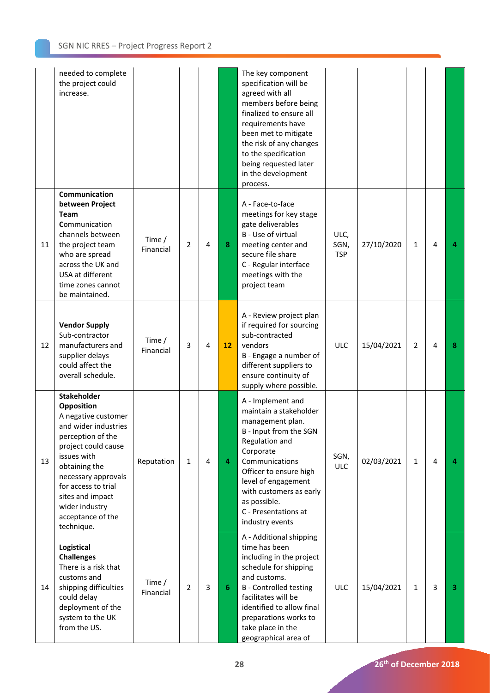|    | needed to complete<br>the project could<br>increase.                                                                                                                                                                                                                               |                     |                |   |    | The key component<br>specification will be<br>agreed with all<br>members before being<br>finalized to ensure all<br>requirements have<br>been met to mitigate<br>the risk of any changes<br>to the specification<br>being requested later<br>in the development<br>process.       |                            |            |                |   |   |
|----|------------------------------------------------------------------------------------------------------------------------------------------------------------------------------------------------------------------------------------------------------------------------------------|---------------------|----------------|---|----|-----------------------------------------------------------------------------------------------------------------------------------------------------------------------------------------------------------------------------------------------------------------------------------|----------------------------|------------|----------------|---|---|
| 11 | Communication<br>between Project<br>Team<br>Communication<br>channels between<br>the project team<br>who are spread<br>across the UK and<br>USA at different<br>time zones cannot<br>be maintained.                                                                                | Time /<br>Financial | $\overline{2}$ | 4 | 8  | A - Face-to-face<br>meetings for key stage<br>gate deliverables<br>B - Use of virtual<br>meeting center and<br>secure file share<br>C - Regular interface<br>meetings with the<br>project team                                                                                    | ULC,<br>SGN,<br><b>TSP</b> | 27/10/2020 | $\mathbf{1}$   | 4 | 4 |
| 12 | <b>Vendor Supply</b><br>Sub-contractor<br>manufacturers and<br>supplier delays<br>could affect the<br>overall schedule.                                                                                                                                                            | Time /<br>Financial | 3              | 4 | 12 | A - Review project plan<br>if required for sourcing<br>sub-contracted<br>vendors<br>B - Engage a number of<br>different suppliers to<br>ensure continuity of<br>supply where possible.                                                                                            | ULC                        | 15/04/2021 | $\overline{2}$ | 4 | 8 |
| 13 | <b>Stakeholder</b><br>Opposition<br>A negative customer<br>and wider industries<br>perception of the<br>project could cause<br>issues with<br>obtaining the<br>necessary approvals<br>for access to trial<br>sites and impact<br>wider industry<br>acceptance of the<br>technique. | Reputation          | 1              | 4 | 4  | A - Implement and<br>maintain a stakeholder<br>management plan.<br>B - Input from the SGN<br>Regulation and<br>Corporate<br>Communications<br>Officer to ensure high<br>level of engagement<br>with customers as early<br>as possible.<br>C - Presentations at<br>industry events | SGN,<br>ULC                | 02/03/2021 | $\mathbf{1}$   | 4 | 4 |
| 14 | Logistical<br><b>Challenges</b><br>There is a risk that<br>customs and<br>shipping difficulties<br>could delay<br>deployment of the<br>system to the UK<br>from the US.                                                                                                            | Time /<br>Financial | 2              | 3 | 6  | A - Additional shipping<br>time has been<br>including in the project<br>schedule for shipping<br>and customs.<br><b>B</b> - Controlled testing<br>facilitates will be<br>identified to allow final<br>preparations works to<br>take place in the<br>geographical area of          | ULC                        | 15/04/2021 | 1              | 3 | з |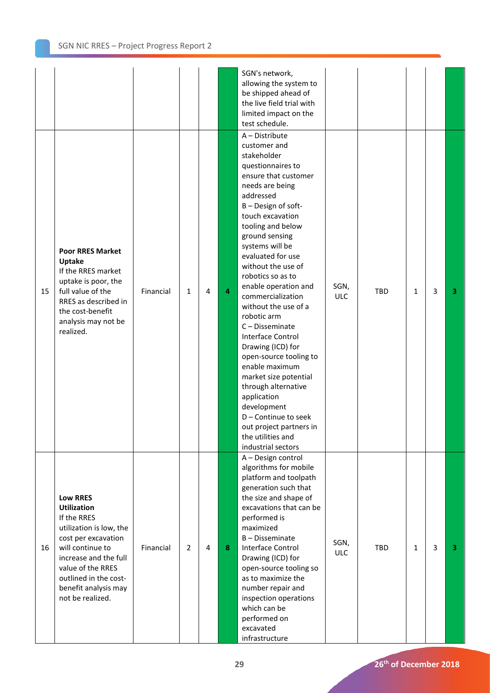|    |                                                                                                                                                                                                                                               |           |              |                |   | SGN's network,<br>allowing the system to<br>be shipped ahead of<br>the live field trial with<br>limited impact on the<br>test schedule.                                                                                                                                                                                                                                                                                                                                                                                                                                                                                                                                |                    |            |              |   |    |
|----|-----------------------------------------------------------------------------------------------------------------------------------------------------------------------------------------------------------------------------------------------|-----------|--------------|----------------|---|------------------------------------------------------------------------------------------------------------------------------------------------------------------------------------------------------------------------------------------------------------------------------------------------------------------------------------------------------------------------------------------------------------------------------------------------------------------------------------------------------------------------------------------------------------------------------------------------------------------------------------------------------------------------|--------------------|------------|--------------|---|----|
| 15 | <b>Poor RRES Market</b><br>Uptake<br>If the RRES market<br>uptake is poor, the<br>full value of the<br>RRES as described in<br>the cost-benefit<br>analysis may not be<br>realized.                                                           | Financial | $\mathbf{1}$ | $\overline{4}$ | 4 | A - Distribute<br>customer and<br>stakeholder<br>questionnaires to<br>ensure that customer<br>needs are being<br>addressed<br>B-Design of soft-<br>touch excavation<br>tooling and below<br>ground sensing<br>systems will be<br>evaluated for use<br>without the use of<br>robotics so as to<br>enable operation and<br>commercialization<br>without the use of a<br>robotic arm<br>$C - Disseminate$<br>Interface Control<br>Drawing (ICD) for<br>open-source tooling to<br>enable maximum<br>market size potential<br>through alternative<br>application<br>development<br>D-Continue to seek<br>out project partners in<br>the utilities and<br>industrial sectors | SGN,<br>ULC        | <b>TBD</b> | $\mathbf{1}$ | 3 | 3  |
| 16 | <b>Low RRES</b><br><b>Utilization</b><br>If the RRES<br>utilization is low, the<br>cost per excavation<br>will continue to<br>increase and the full<br>value of the RRES<br>outlined in the cost-<br>benefit analysis may<br>not be realized. | Financial | 2            | 4              | 8 | A - Design control<br>algorithms for mobile<br>platform and toolpath<br>generation such that<br>the size and shape of<br>excavations that can be<br>performed is<br>maximized<br>B-Disseminate<br>Interface Control<br>Drawing (ICD) for<br>open-source tooling so<br>as to maximize the<br>number repair and<br>inspection operations<br>which can be<br>performed on<br>excavated<br>infrastructure                                                                                                                                                                                                                                                                  | SGN,<br><b>ULC</b> | TBD        | $\mathbf{1}$ | 3 | з. |